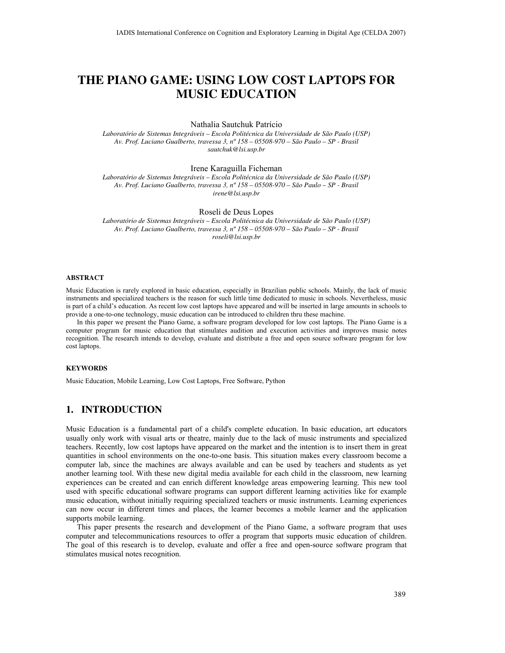# THE PIANO GAME: USING LOW COST LAPTOPS FOR MUSIC EDUCATION

#### Nathalia Sautchuk Patrício

Laboratório de Sistemas Integráveis – Escola Politécnica da Universidade de São Paulo (USP) Av. Prof. Luciano Gualberto, travessa 3, nº 158 – 05508-970 – São Paulo – SP - Brasil sautchuk@lsi.usp.br

#### Irene Karaguilla Ficheman

Laboratório de Sistemas Integráveis – Escola Politécnica da Universidade de São Paulo (USP) Av. Prof. Luciano Gualberto, travessa 3, nº 158 – 05508-970 – São Paulo – SP - Brasil irene@lsi.usp.br

Roseli de Deus Lopes

Laboratório de Sistemas Integráveis – Escola Politécnica da Universidade de São Paulo (USP) Av. Prof. Luciano Gualberto, travessa 3, nº 158 – 05508-970 – São Paulo – SP - Brasil roseli@lsi.usp.br

#### ABSTRACT

Music Education is rarely explored in basic education, especially in Brazilian public schools. Mainly, the lack of music instruments and specialized teachers is the reason for such little time dedicated to music in schools. Nevertheless, music is part of a child's education. As recent low cost laptops have appeared and will be inserted in large amounts in schools to provide a one-to-one technology, music education can be introduced to children thru these machine.

In this paper we present the Piano Game, a software program developed for low cost laptops. The Piano Game is a computer program for music education that stimulates audition and execution activities and improves music notes recognition. The research intends to develop, evaluate and distribute a free and open source software program for low cost laptops.

#### **KEYWORDS**

Music Education, Mobile Learning, Low Cost Laptops, Free Software, Python

# 1. INTRODUCTION

Music Education is a fundamental part of a child's complete education. In basic education, art educators usually only work with visual arts or theatre, mainly due to the lack of music instruments and specialized teachers. Recently, low cost laptops have appeared on the market and the intention is to insert them in great quantities in school environments on the one-to-one basis. This situation makes every classroom become a computer lab, since the machines are always available and can be used by teachers and students as yet another learning tool. With these new digital media available for each child in the classroom, new learning experiences can be created and can enrich different knowledge areas empowering learning. This new tool used with specific educational software programs can support different learning activities like for example music education, without initially requiring specialized teachers or music instruments. Learning experiences can now occur in different times and places, the learner becomes a mobile learner and the application supports mobile learning.

This paper presents the research and development of the Piano Game, a software program that uses computer and telecommunications resources to offer a program that supports music education of children. The goal of this research is to develop, evaluate and offer a free and open-source software program that stimulates musical notes recognition.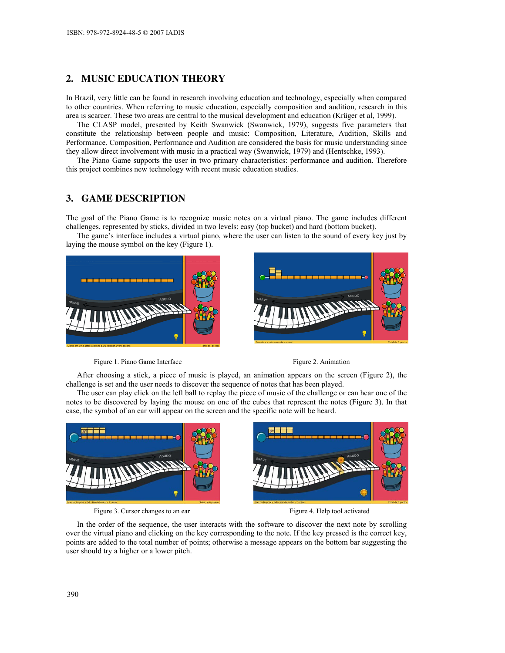# 2. MUSIC EDUCATION THEORY

In Brazil, very little can be found in research involving education and technology, especially when compared to other countries. When referring to music education, especially composition and audition, research in this area is scarcer. These two areas are central to the musical development and education (Krüger et al, 1999).

The CLASP model, presented by Keith Swanwick (Swanwick, 1979), suggests five parameters that constitute the relationship between people and music: Composition, Literature, Audition, Skills and Performance. Composition, Performance and Audition are considered the basis for music understanding since they allow direct involvement with music in a practical way (Swanwick, 1979) and (Hentschke, 1993).

The Piano Game supports the user in two primary characteristics: performance and audition. Therefore this project combines new technology with recent music education studies.

## 3. GAME DESCRIPTION

The goal of the Piano Game is to recognize music notes on a virtual piano. The game includes different challenges, represented by sticks, divided in two levels: easy (top bucket) and hard (bottom bucket).

The game's interface includes a virtual piano, where the user can listen to the sound of every key just by laying the mouse symbol on the key (Figure 1).





Figure 1. Piano Game Interface Figure 2. Animation

After choosing a stick, a piece of music is played, an animation appears on the screen (Figure 2), the challenge is set and the user needs to discover the sequence of notes that has been played.

The user can play click on the left ball to replay the piece of music of the challenge or can hear one of the notes to be discovered by laying the mouse on one of the cubes that represent the notes (Figure 3). In that case, the symbol of an ear will appear on the screen and the specific note will be heard.



Figure 3. Cursor changes to an ear Figure 4. Help tool activated

In the order of the sequence, the user interacts with the software to discover the next note by scrolling over the virtual piano and clicking on the key corresponding to the note. If the key pressed is the correct key, points are added to the total number of points; otherwise a message appears on the bottom bar suggesting the user should try a higher or a lower pitch.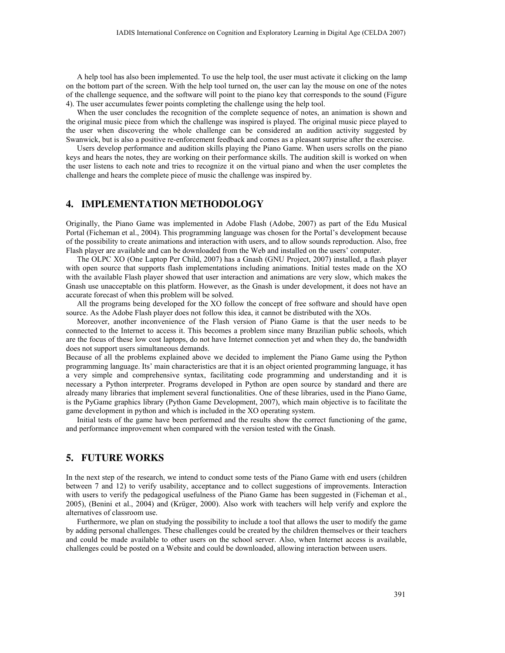A help tool has also been implemented. To use the help tool, the user must activate it clicking on the lamp on the bottom part of the screen. With the help tool turned on, the user can lay the mouse on one of the notes of the challenge sequence, and the software will point to the piano key that corresponds to the sound (Figure 4). The user accumulates fewer points completing the challenge using the help tool.

When the user concludes the recognition of the complete sequence of notes, an animation is shown and the original music piece from which the challenge was inspired is played. The original music piece played to the user when discovering the whole challenge can be considered an audition activity suggested by Swanwick, but is also a positive re-enforcement feedback and comes as a pleasant surprise after the exercise.

Users develop performance and audition skills playing the Piano Game. When users scrolls on the piano keys and hears the notes, they are working on their performance skills. The audition skill is worked on when the user listens to each note and tries to recognize it on the virtual piano and when the user completes the challenge and hears the complete piece of music the challenge was inspired by.

## 4. IMPLEMENTATION METHODOLOGY

Originally, the Piano Game was implemented in Adobe Flash (Adobe, 2007) as part of the Edu Musical Portal (Ficheman et al., 2004). This programming language was chosen for the Portal's development because of the possibility to create animations and interaction with users, and to allow sounds reproduction. Also, free Flash player are available and can be downloaded from the Web and installed on the users' computer.

The OLPC XO (One Laptop Per Child, 2007) has a Gnash (GNU Project, 2007) installed, a flash player with open source that supports flash implementations including animations. Initial testes made on the XO with the available Flash player showed that user interaction and animations are very slow, which makes the Gnash use unacceptable on this platform. However, as the Gnash is under development, it does not have an accurate forecast of when this problem will be solved.

All the programs being developed for the XO follow the concept of free software and should have open source. As the Adobe Flash player does not follow this idea, it cannot be distributed with the XOs.

Moreover, another inconvenience of the Flash version of Piano Game is that the user needs to be connected to the Internet to access it. This becomes a problem since many Brazilian public schools, which are the focus of these low cost laptops, do not have Internet connection yet and when they do, the bandwidth does not support users simultaneous demands.

Because of all the problems explained above we decided to implement the Piano Game using the Python programming language. Its' main characteristics are that it is an object oriented programming language, it has a very simple and comprehensive syntax, facilitating code programming and understanding and it is necessary a Python interpreter. Programs developed in Python are open source by standard and there are already many libraries that implement several functionalities. One of these libraries, used in the Piano Game, is the PyGame graphics library (Python Game Development, 2007), which main objective is to facilitate the game development in python and which is included in the XO operating system.

Initial tests of the game have been performed and the results show the correct functioning of the game, and performance improvement when compared with the version tested with the Gnash.

## 5. FUTURE WORKS

In the next step of the research, we intend to conduct some tests of the Piano Game with end users (children between 7 and 12) to verify usability, acceptance and to collect suggestions of improvements. Interaction with users to verify the pedagogical usefulness of the Piano Game has been suggested in (Ficheman et al., 2005), (Benini et al., 2004) and (Krüger, 2000). Also work with teachers will help verify and explore the alternatives of classroom use.

Furthermore, we plan on studying the possibility to include a tool that allows the user to modify the game by adding personal challenges. These challenges could be created by the children themselves or their teachers and could be made available to other users on the school server. Also, when Internet access is available, challenges could be posted on a Website and could be downloaded, allowing interaction between users.